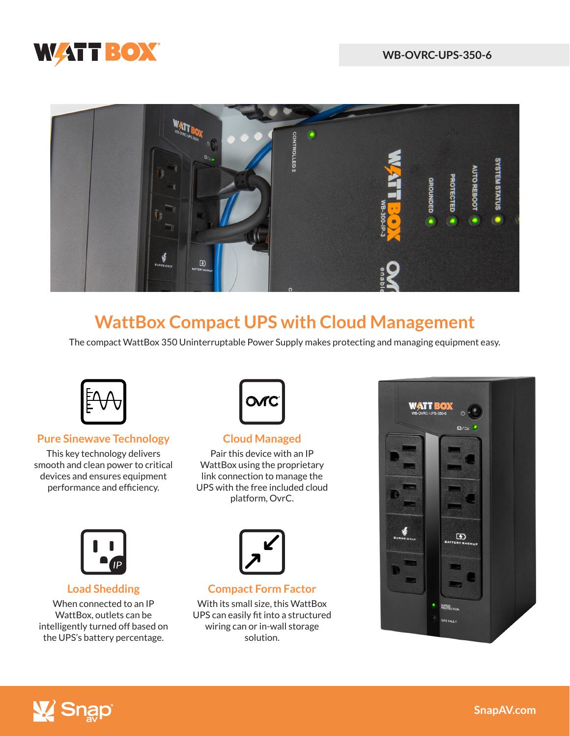



# **WattBox Compact UPS with Cloud Management**

The compact WattBox 350 Uninterruptable Power Supply makes protecting and managing equipment easy.



### **Pure Sinewave Technology**

This key technology delivers smooth and clean power to critical devices and ensures equipment performance and efficiency.



#### **Cloud Managed**

Pair this device with an IP WattBox using the proprietary link connection to manage the UPS with the free included cloud platform, OvrC.



#### **Load Shedding**

When connected to an IP WattBox, outlets can be intelligently turned off based on the UPS's battery percentage.



**Compact Form Factor**

With its small size, this WattBox UPS can easily fit into a structured wiring can or in-wall storage solution.